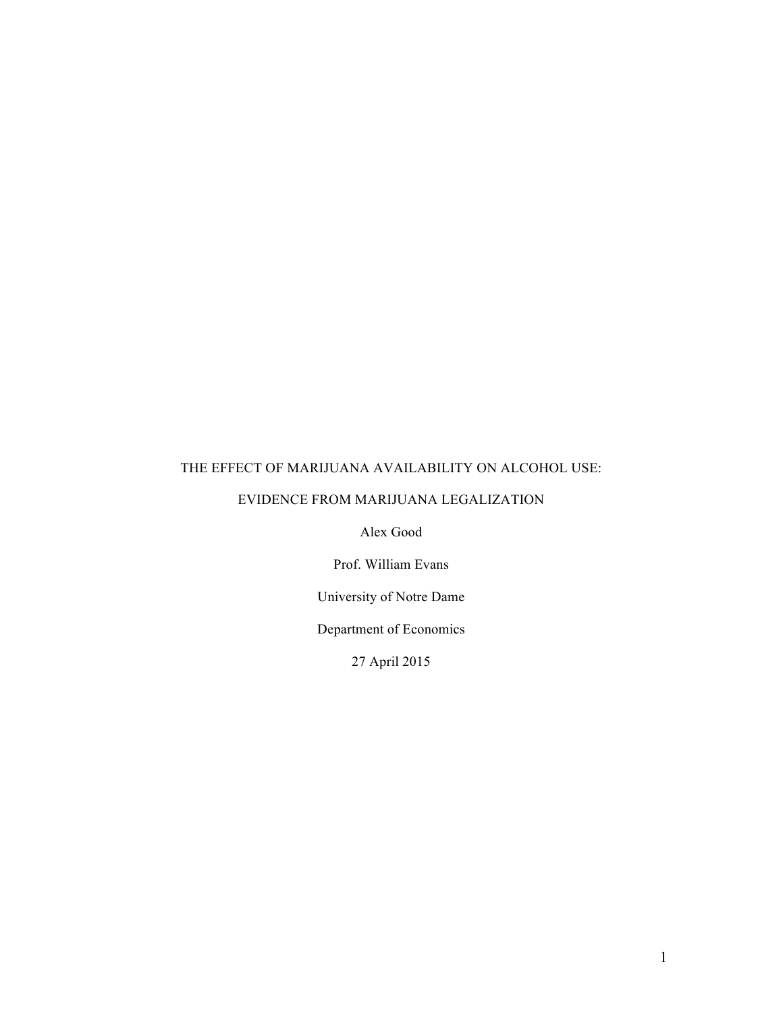# THE EFFECT OF MARIJUANA AVAILABILITY ON ALCOHOL USE:

# EVIDENCE FROM MARIJUANA LEGALIZATION

Alex Good

Prof. William Evans

University of Notre Dame

Department of Economics

27 April 2015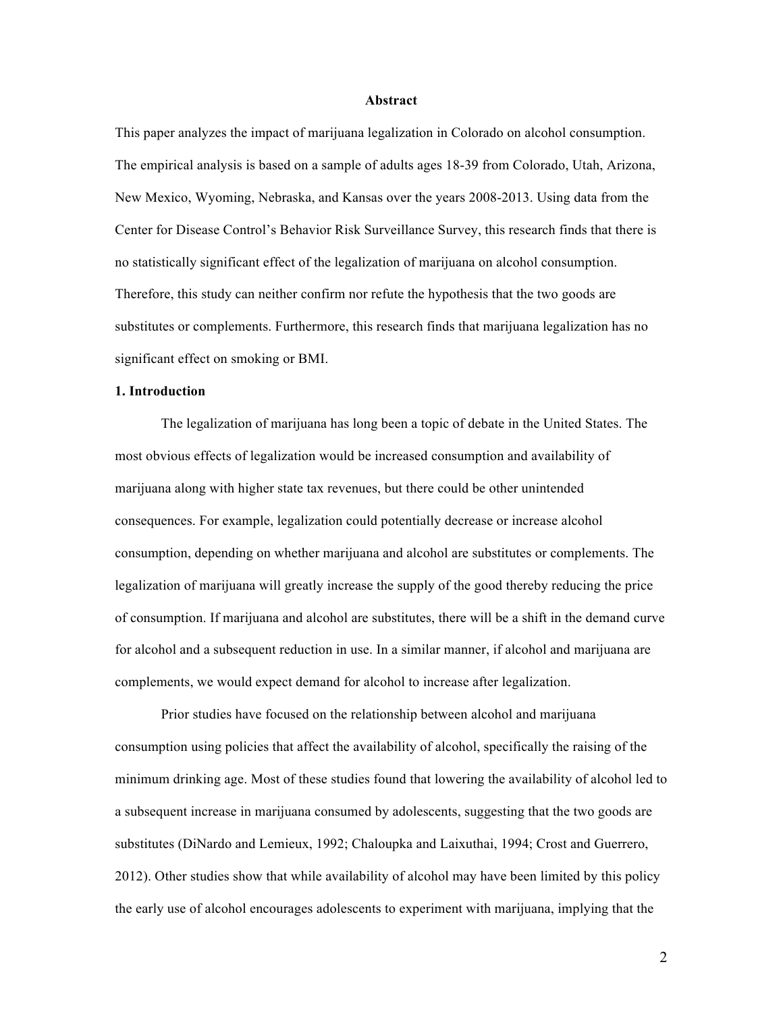#### **Abstract**

This paper analyzes the impact of marijuana legalization in Colorado on alcohol consumption. The empirical analysis is based on a sample of adults ages 18-39 from Colorado, Utah, Arizona, New Mexico, Wyoming, Nebraska, and Kansas over the years 2008-2013. Using data from the Center for Disease Control's Behavior Risk Surveillance Survey, this research finds that there is no statistically significant effect of the legalization of marijuana on alcohol consumption. Therefore, this study can neither confirm nor refute the hypothesis that the two goods are substitutes or complements. Furthermore, this research finds that marijuana legalization has no significant effect on smoking or BMI.

#### **1. Introduction**

The legalization of marijuana has long been a topic of debate in the United States. The most obvious effects of legalization would be increased consumption and availability of marijuana along with higher state tax revenues, but there could be other unintended consequences. For example, legalization could potentially decrease or increase alcohol consumption, depending on whether marijuana and alcohol are substitutes or complements. The legalization of marijuana will greatly increase the supply of the good thereby reducing the price of consumption. If marijuana and alcohol are substitutes, there will be a shift in the demand curve for alcohol and a subsequent reduction in use. In a similar manner, if alcohol and marijuana are complements, we would expect demand for alcohol to increase after legalization.

Prior studies have focused on the relationship between alcohol and marijuana consumption using policies that affect the availability of alcohol, specifically the raising of the minimum drinking age. Most of these studies found that lowering the availability of alcohol led to a subsequent increase in marijuana consumed by adolescents, suggesting that the two goods are substitutes (DiNardo and Lemieux, 1992; Chaloupka and Laixuthai, 1994; Crost and Guerrero, 2012). Other studies show that while availability of alcohol may have been limited by this policy the early use of alcohol encourages adolescents to experiment with marijuana, implying that the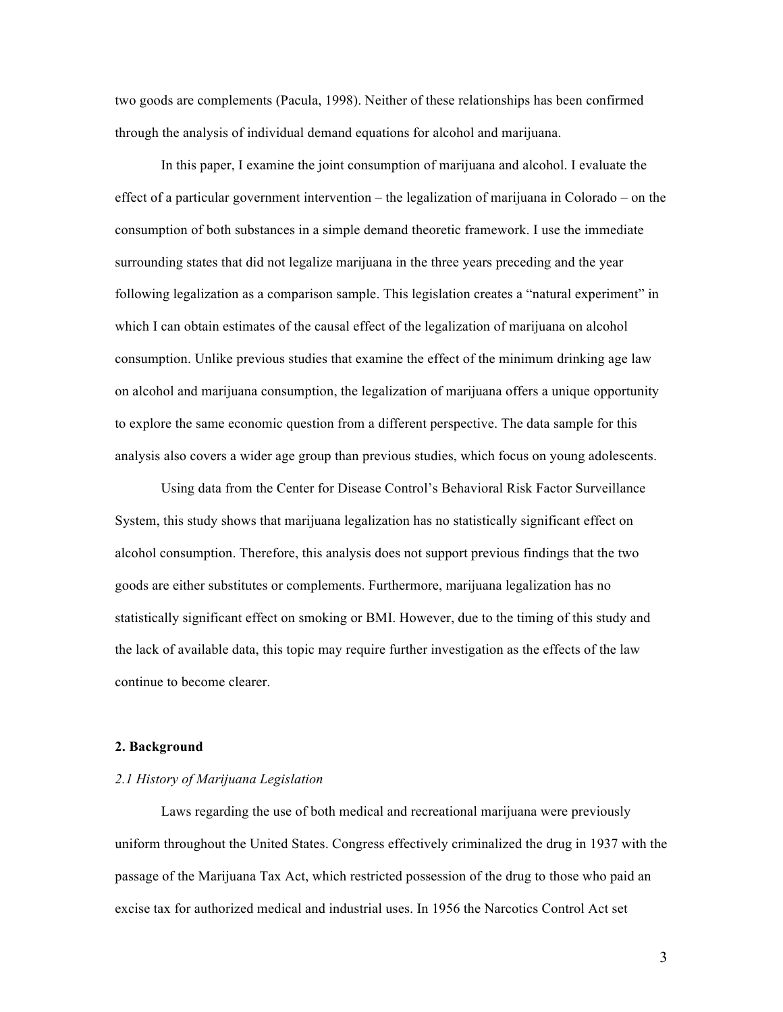two goods are complements (Pacula, 1998). Neither of these relationships has been confirmed through the analysis of individual demand equations for alcohol and marijuana.

In this paper, I examine the joint consumption of marijuana and alcohol. I evaluate the effect of a particular government intervention – the legalization of marijuana in Colorado – on the consumption of both substances in a simple demand theoretic framework. I use the immediate surrounding states that did not legalize marijuana in the three years preceding and the year following legalization as a comparison sample. This legislation creates a "natural experiment" in which I can obtain estimates of the causal effect of the legalization of marijuana on alcohol consumption. Unlike previous studies that examine the effect of the minimum drinking age law on alcohol and marijuana consumption, the legalization of marijuana offers a unique opportunity to explore the same economic question from a different perspective. The data sample for this analysis also covers a wider age group than previous studies, which focus on young adolescents.

Using data from the Center for Disease Control's Behavioral Risk Factor Surveillance System, this study shows that marijuana legalization has no statistically significant effect on alcohol consumption. Therefore, this analysis does not support previous findings that the two goods are either substitutes or complements. Furthermore, marijuana legalization has no statistically significant effect on smoking or BMI. However, due to the timing of this study and the lack of available data, this topic may require further investigation as the effects of the law continue to become clearer.

#### **2. Background**

# *2.1 History of Marijuana Legislation*

Laws regarding the use of both medical and recreational marijuana were previously uniform throughout the United States. Congress effectively criminalized the drug in 1937 with the passage of the Marijuana Tax Act, which restricted possession of the drug to those who paid an excise tax for authorized medical and industrial uses. In 1956 the Narcotics Control Act set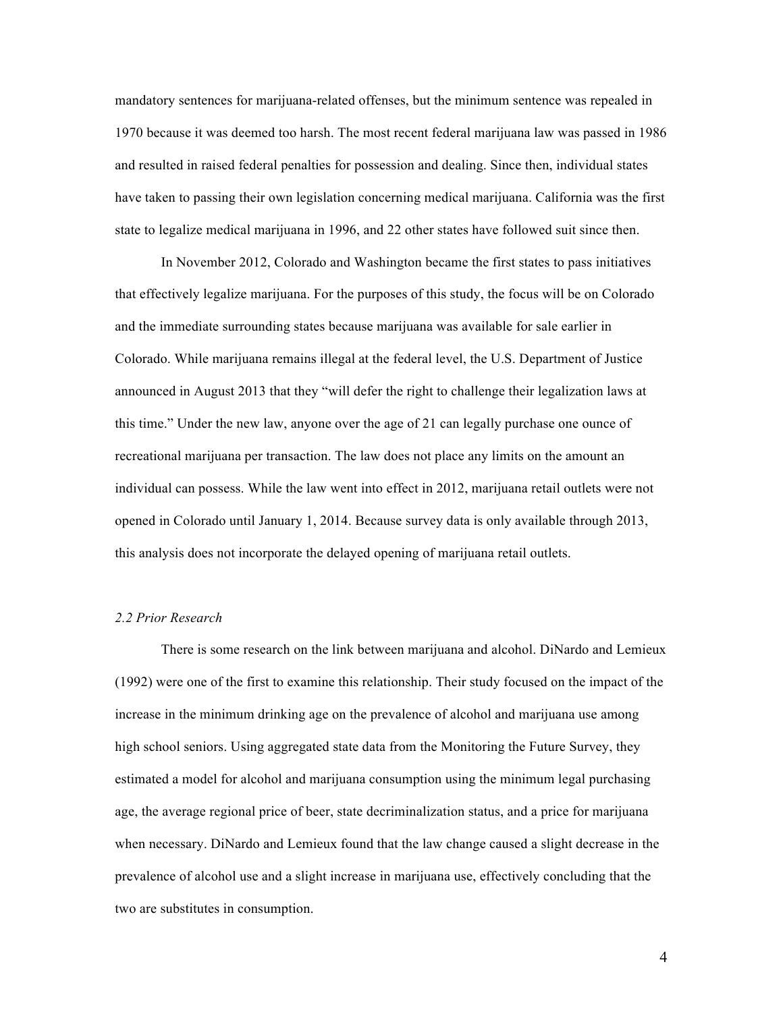mandatory sentences for marijuana-related offenses, but the minimum sentence was repealed in 1970 because it was deemed too harsh. The most recent federal marijuana law was passed in 1986 and resulted in raised federal penalties for possession and dealing. Since then, individual states have taken to passing their own legislation concerning medical marijuana. California was the first state to legalize medical marijuana in 1996, and 22 other states have followed suit since then.

In November 2012, Colorado and Washington became the first states to pass initiatives that effectively legalize marijuana. For the purposes of this study, the focus will be on Colorado and the immediate surrounding states because marijuana was available for sale earlier in Colorado. While marijuana remains illegal at the federal level, the U.S. Department of Justice announced in August 2013 that they "will defer the right to challenge their legalization laws at this time." Under the new law, anyone over the age of 21 can legally purchase one ounce of recreational marijuana per transaction. The law does not place any limits on the amount an individual can possess. While the law went into effect in 2012, marijuana retail outlets were not opened in Colorado until January 1, 2014. Because survey data is only available through 2013, this analysis does not incorporate the delayed opening of marijuana retail outlets.

# *2.2 Prior Research*

There is some research on the link between marijuana and alcohol. DiNardo and Lemieux (1992) were one of the first to examine this relationship. Their study focused on the impact of the increase in the minimum drinking age on the prevalence of alcohol and marijuana use among high school seniors. Using aggregated state data from the Monitoring the Future Survey, they estimated a model for alcohol and marijuana consumption using the minimum legal purchasing age, the average regional price of beer, state decriminalization status, and a price for marijuana when necessary. DiNardo and Lemieux found that the law change caused a slight decrease in the prevalence of alcohol use and a slight increase in marijuana use, effectively concluding that the two are substitutes in consumption.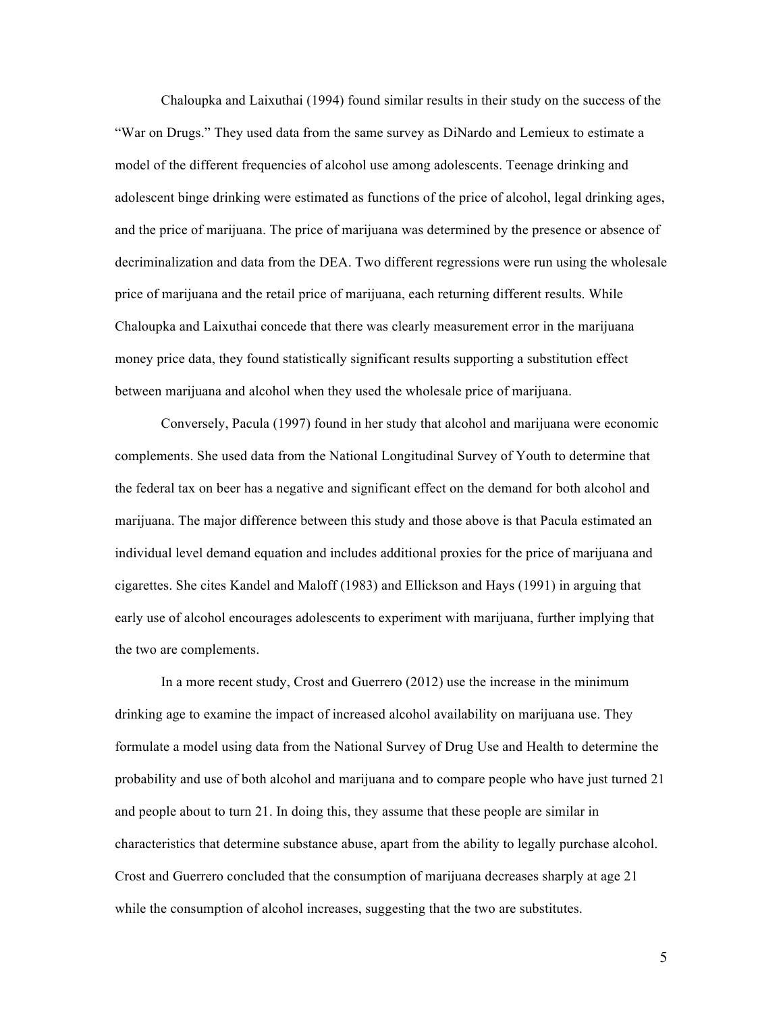Chaloupka and Laixuthai (1994) found similar results in their study on the success of the "War on Drugs." They used data from the same survey as DiNardo and Lemieux to estimate a model of the different frequencies of alcohol use among adolescents. Teenage drinking and adolescent binge drinking were estimated as functions of the price of alcohol, legal drinking ages, and the price of marijuana. The price of marijuana was determined by the presence or absence of decriminalization and data from the DEA. Two different regressions were run using the wholesale price of marijuana and the retail price of marijuana, each returning different results. While Chaloupka and Laixuthai concede that there was clearly measurement error in the marijuana money price data, they found statistically significant results supporting a substitution effect between marijuana and alcohol when they used the wholesale price of marijuana.

Conversely, Pacula (1997) found in her study that alcohol and marijuana were economic complements. She used data from the National Longitudinal Survey of Youth to determine that the federal tax on beer has a negative and significant effect on the demand for both alcohol and marijuana. The major difference between this study and those above is that Pacula estimated an individual level demand equation and includes additional proxies for the price of marijuana and cigarettes. She cites Kandel and Maloff (1983) and Ellickson and Hays (1991) in arguing that early use of alcohol encourages adolescents to experiment with marijuana, further implying that the two are complements.

In a more recent study, Crost and Guerrero (2012) use the increase in the minimum drinking age to examine the impact of increased alcohol availability on marijuana use. They formulate a model using data from the National Survey of Drug Use and Health to determine the probability and use of both alcohol and marijuana and to compare people who have just turned 21 and people about to turn 21. In doing this, they assume that these people are similar in characteristics that determine substance abuse, apart from the ability to legally purchase alcohol. Crost and Guerrero concluded that the consumption of marijuana decreases sharply at age 21 while the consumption of alcohol increases, suggesting that the two are substitutes.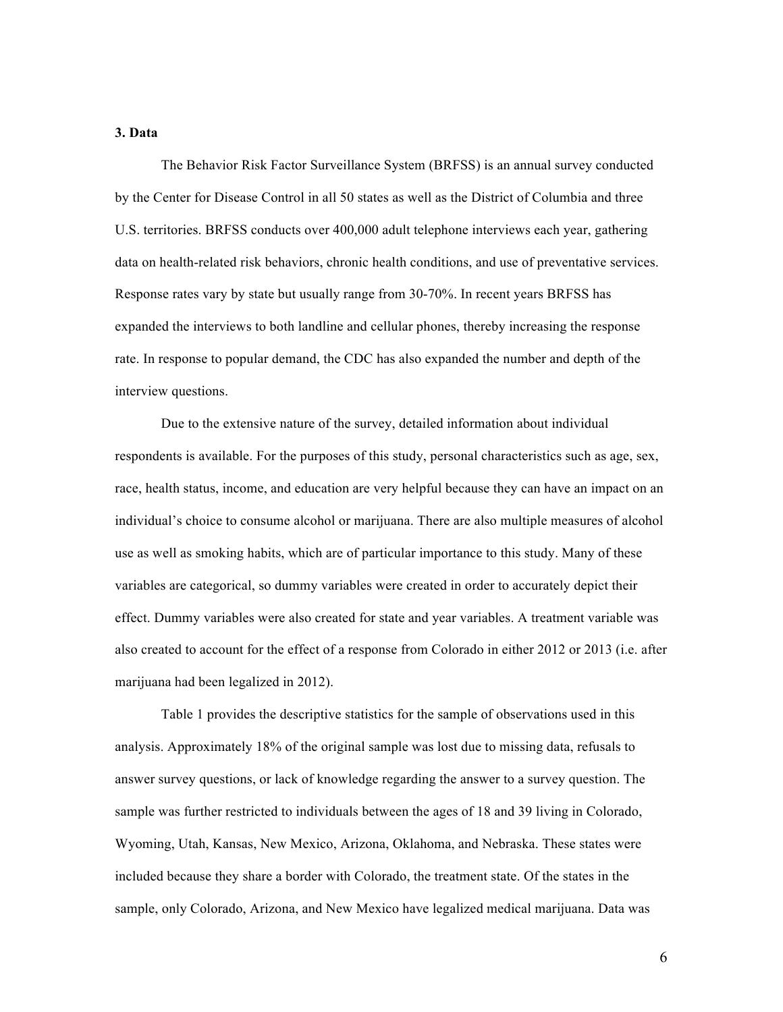#### **3. Data**

The Behavior Risk Factor Surveillance System (BRFSS) is an annual survey conducted by the Center for Disease Control in all 50 states as well as the District of Columbia and three U.S. territories. BRFSS conducts over 400,000 adult telephone interviews each year, gathering data on health-related risk behaviors, chronic health conditions, and use of preventative services. Response rates vary by state but usually range from 30-70%. In recent years BRFSS has expanded the interviews to both landline and cellular phones, thereby increasing the response rate. In response to popular demand, the CDC has also expanded the number and depth of the interview questions.

Due to the extensive nature of the survey, detailed information about individual respondents is available. For the purposes of this study, personal characteristics such as age, sex, race, health status, income, and education are very helpful because they can have an impact on an individual's choice to consume alcohol or marijuana. There are also multiple measures of alcohol use as well as smoking habits, which are of particular importance to this study. Many of these variables are categorical, so dummy variables were created in order to accurately depict their effect. Dummy variables were also created for state and year variables. A treatment variable was also created to account for the effect of a response from Colorado in either 2012 or 2013 (i.e. after marijuana had been legalized in 2012).

Table 1 provides the descriptive statistics for the sample of observations used in this analysis. Approximately 18% of the original sample was lost due to missing data, refusals to answer survey questions, or lack of knowledge regarding the answer to a survey question. The sample was further restricted to individuals between the ages of 18 and 39 living in Colorado, Wyoming, Utah, Kansas, New Mexico, Arizona, Oklahoma, and Nebraska. These states were included because they share a border with Colorado, the treatment state. Of the states in the sample, only Colorado, Arizona, and New Mexico have legalized medical marijuana. Data was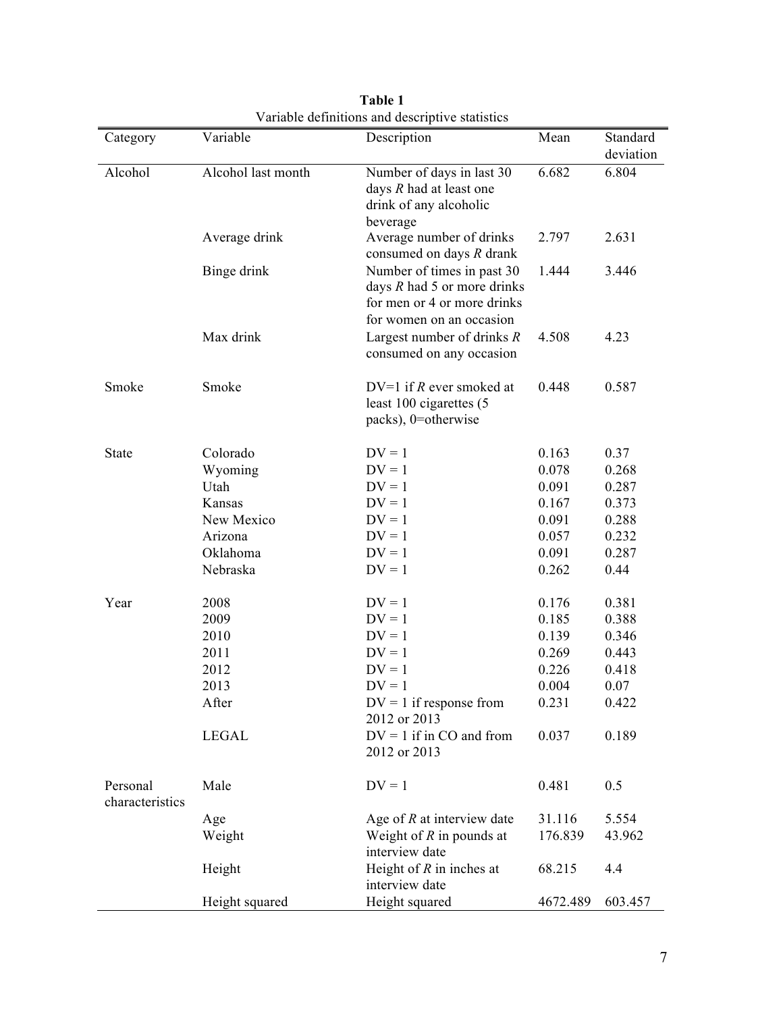| Category                    | Variable           | Description                                                                                                              | Mean     | Standard  |
|-----------------------------|--------------------|--------------------------------------------------------------------------------------------------------------------------|----------|-----------|
|                             |                    |                                                                                                                          |          | deviation |
| Alcohol                     | Alcohol last month | Number of days in last 30<br>days $R$ had at least one<br>drink of any alcoholic<br>beverage                             | 6.682    | 6.804     |
|                             | Average drink      | Average number of drinks<br>consumed on days $R$ drank                                                                   | 2.797    | 2.631     |
|                             | Binge drink        | Number of times in past 30<br>days $R$ had $5$ or more drinks<br>for men or 4 or more drinks<br>for women on an occasion | 1.444    | 3.446     |
|                             | Max drink          | Largest number of drinks $R$<br>consumed on any occasion                                                                 | 4.508    | 4.23      |
| Smoke                       | Smoke              | DV=1 if $R$ ever smoked at<br>least 100 cigarettes (5<br>packs), 0=otherwise                                             | 0.448    | 0.587     |
| <b>State</b>                | Colorado           | $DV = 1$                                                                                                                 | 0.163    | 0.37      |
|                             | Wyoming            | $DV = 1$                                                                                                                 | 0.078    | 0.268     |
|                             | Utah               | $DV = 1$                                                                                                                 | 0.091    | 0.287     |
|                             | Kansas             | $DV = 1$                                                                                                                 | 0.167    | 0.373     |
|                             | New Mexico         | $DV = 1$                                                                                                                 | 0.091    | 0.288     |
|                             | Arizona            | $DV = 1$                                                                                                                 | 0.057    | 0.232     |
|                             | Oklahoma           | $DV = 1$                                                                                                                 | 0.091    | 0.287     |
|                             | Nebraska           | $DV = 1$                                                                                                                 | 0.262    | 0.44      |
|                             |                    |                                                                                                                          |          |           |
| Year                        | 2008               | $DV = 1$                                                                                                                 | 0.176    | 0.381     |
|                             | 2009               | $DV = 1$                                                                                                                 | 0.185    | 0.388     |
|                             | 2010               | $DV = 1$                                                                                                                 | 0.139    | 0.346     |
|                             | 2011               | $DV = 1$                                                                                                                 | 0.269    | 0.443     |
|                             | 2012               | $DV = 1$                                                                                                                 | 0.226    | 0.418     |
|                             | 2013               | $DV = 1$                                                                                                                 | 0.004    | 0.07      |
|                             | After              | $DV = 1$ if response from                                                                                                | 0.231    | 0.422     |
|                             |                    | 2012 or 2013                                                                                                             |          |           |
|                             | <b>LEGAL</b>       | $DV = 1$ if in CO and from<br>2012 or 2013                                                                               | 0.037    | 0.189     |
| Personal<br>characteristics | Male               | $DV = 1$                                                                                                                 | 0.481    | 0.5       |
|                             | Age                | Age of $R$ at interview date                                                                                             | 31.116   | 5.554     |
|                             | Weight             | Weight of $R$ in pounds at                                                                                               | 176.839  | 43.962    |
|                             |                    | interview date                                                                                                           |          |           |
|                             | Height             | Height of $R$ in inches at<br>interview date                                                                             | 68.215   | 4.4       |
|                             | Height squared     | Height squared                                                                                                           | 4672.489 | 603.457   |

**Table 1** Variable definitions and descriptive statistics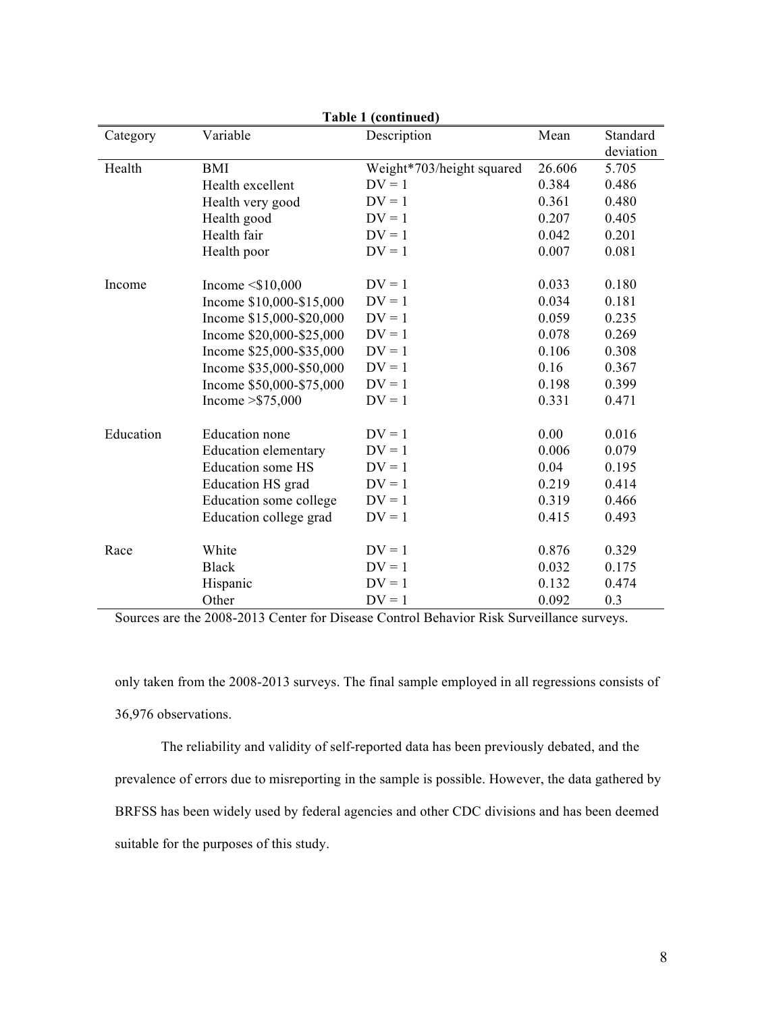| Table 1 (continued) |                             |                           |        |           |  |  |  |  |  |
|---------------------|-----------------------------|---------------------------|--------|-----------|--|--|--|--|--|
| Category            | Variable                    | Description               | Mean   | Standard  |  |  |  |  |  |
|                     |                             |                           |        | deviation |  |  |  |  |  |
| Health              | <b>BMI</b>                  | Weight*703/height squared | 26.606 | 5.705     |  |  |  |  |  |
|                     | Health excellent            | $DV = 1$                  | 0.384  | 0.486     |  |  |  |  |  |
|                     | Health very good            | $DV = 1$                  | 0.361  | 0.480     |  |  |  |  |  |
|                     | Health good                 | $DV = 1$                  | 0.207  | 0.405     |  |  |  |  |  |
|                     | Health fair                 | $DV = 1$                  | 0.042  | 0.201     |  |  |  |  |  |
|                     | Health poor                 | $DV = 1$                  | 0.007  | 0.081     |  |  |  |  |  |
| Income              | Income $\leq$ \$10,000      | $DV = 1$                  | 0.033  | 0.180     |  |  |  |  |  |
|                     | Income \$10,000-\$15,000    | $DV = 1$                  | 0.034  | 0.181     |  |  |  |  |  |
|                     | Income \$15,000-\$20,000    | $DV = 1$                  | 0.059  | 0.235     |  |  |  |  |  |
|                     | Income \$20,000-\$25,000    | $DV = 1$                  | 0.078  | 0.269     |  |  |  |  |  |
|                     | Income \$25,000-\$35,000    | $DV = 1$                  | 0.106  | 0.308     |  |  |  |  |  |
|                     | Income \$35,000-\$50,000    | $DV = 1$                  | 0.16   | 0.367     |  |  |  |  |  |
|                     | Income \$50,000-\$75,000    | $DV = 1$                  | 0.198  | 0.399     |  |  |  |  |  |
|                     | Income $>$ \$75,000         | $DV = 1$                  | 0.331  | 0.471     |  |  |  |  |  |
| Education           | <b>Education</b> none       | $DV = 1$                  | 0.00   | 0.016     |  |  |  |  |  |
|                     | <b>Education elementary</b> | $DV = 1$                  | 0.006  | 0.079     |  |  |  |  |  |
|                     | <b>Education some HS</b>    | $DV = 1$                  | 0.04   | 0.195     |  |  |  |  |  |
|                     | <b>Education HS</b> grad    | $DV = 1$                  | 0.219  | 0.414     |  |  |  |  |  |
|                     | Education some college      | $DV = 1$                  | 0.319  | 0.466     |  |  |  |  |  |
|                     | Education college grad      | $DV = 1$                  | 0.415  | 0.493     |  |  |  |  |  |
| Race                | White                       | $DV = 1$                  | 0.876  | 0.329     |  |  |  |  |  |
|                     | <b>Black</b>                | $DV = 1$                  | 0.032  | 0.175     |  |  |  |  |  |
|                     | Hispanic                    | $DV = 1$                  | 0.132  | 0.474     |  |  |  |  |  |
|                     | Other                       | $DV = 1$                  | 0.092  | 0.3       |  |  |  |  |  |

Sources are the 2008-2013 Center for Disease Control Behavior Risk Surveillance surveys.

only taken from the 2008-2013 surveys. The final sample employed in all regressions consists of 36,976 observations.

The reliability and validity of self-reported data has been previously debated, and the prevalence of errors due to misreporting in the sample is possible. However, the data gathered by BRFSS has been widely used by federal agencies and other CDC divisions and has been deemed suitable for the purposes of this study.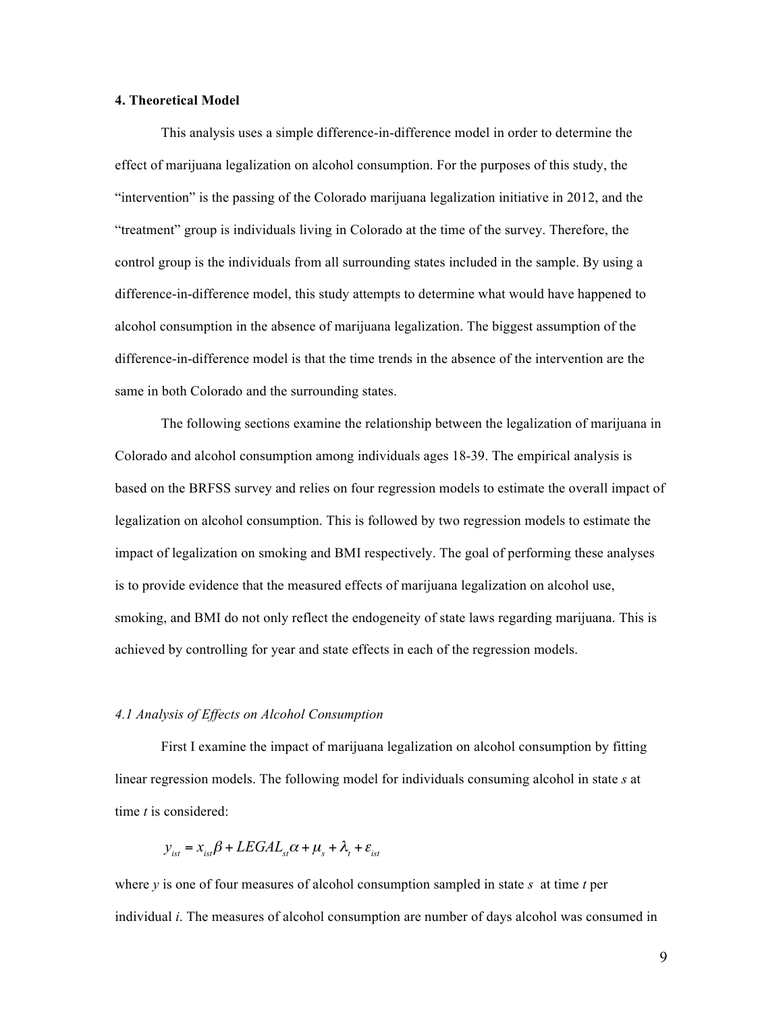# **4. Theoretical Model**

This analysis uses a simple difference-in-difference model in order to determine the effect of marijuana legalization on alcohol consumption. For the purposes of this study, the "intervention" is the passing of the Colorado marijuana legalization initiative in 2012, and the "treatment" group is individuals living in Colorado at the time of the survey. Therefore, the control group is the individuals from all surrounding states included in the sample. By using a difference-in-difference model, this study attempts to determine what would have happened to alcohol consumption in the absence of marijuana legalization. The biggest assumption of the difference-in-difference model is that the time trends in the absence of the intervention are the same in both Colorado and the surrounding states.

The following sections examine the relationship between the legalization of marijuana in Colorado and alcohol consumption among individuals ages 18-39. The empirical analysis is based on the BRFSS survey and relies on four regression models to estimate the overall impact of legalization on alcohol consumption. This is followed by two regression models to estimate the impact of legalization on smoking and BMI respectively. The goal of performing these analyses is to provide evidence that the measured effects of marijuana legalization on alcohol use, smoking, and BMI do not only reflect the endogeneity of state laws regarding marijuana. This is achieved by controlling for year and state effects in each of the regression models.

#### *4.1 Analysis of Effects on Alcohol Consumption*

First I examine the impact of marijuana legalization on alcohol consumption by fitting linear regression models. The following model for individuals consuming alcohol in state *s* at time *t* is considered:

$$
y_{_{ist}} = x_{_{ist}}\beta + LEGAL_{_{st}}\alpha + \mu_{_{s}} + \lambda_{_{t}} + \varepsilon_{_{ist}}
$$

where  $\nu$  is one of four measures of alcohol consumption sampled in state  $\delta$  at time  $\dot{\ell}$  per individual *i*. The measures of alcohol consumption are number of days alcohol was consumed in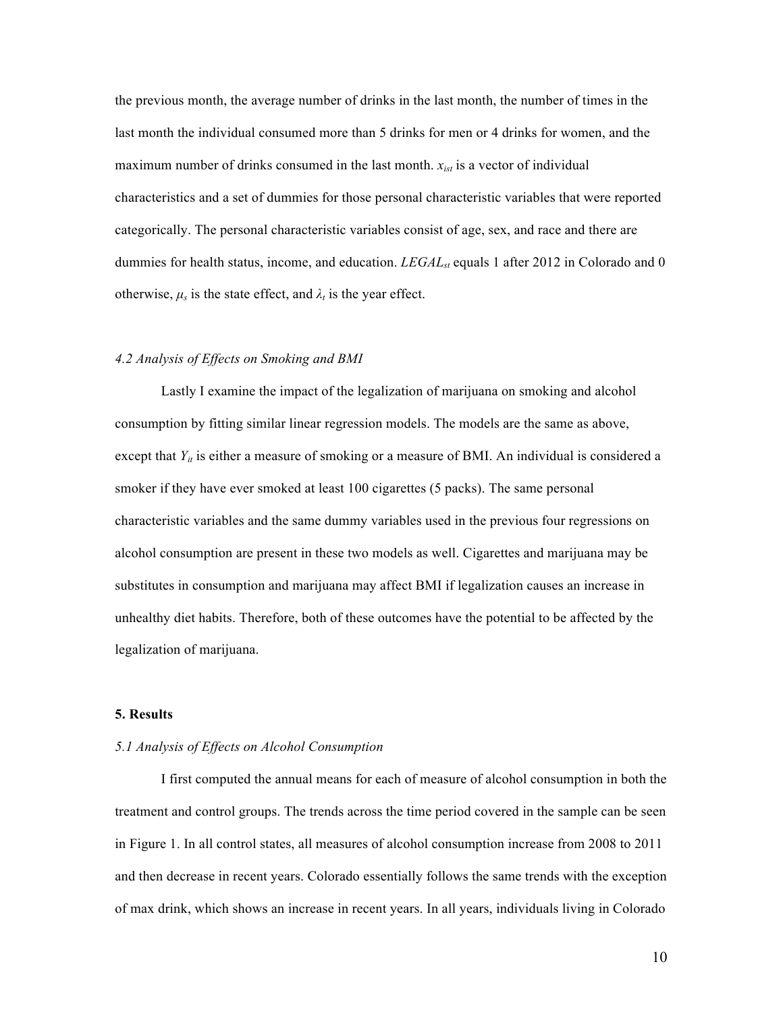the previous month, the average number of drinks in the last month, the number of times in the last month the individual consumed more than 5 drinks for men or 4 drinks for women, and the maximum number of drinks consumed in the last month.  $x_{ist}$  is a vector of individual characteristics and a set of dummies for those personal characteristic variables that were reported categorically. The personal characteristic variables consist of age, sex, and race and there are dummies for health status, income, and education. *LEGAL<sub>st</sub>* equals 1 after 2012 in Colorado and 0 otherwise,  $\mu_s$  is the state effect, and  $\lambda_t$  is the year effect.

# *4.2 Analysis of Effects on Smoking and BMI*

Lastly I examine the impact of the legalization of marijuana on smoking and alcohol consumption by fitting similar linear regression models. The models are the same as above, except that  $Y_{it}$  is either a measure of smoking or a measure of BMI. An individual is considered a smoker if they have ever smoked at least 100 cigarettes (5 packs). The same personal characteristic variables and the same dummy variables used in the previous four regressions on alcohol consumption are present in these two models as well. Cigarettes and marijuana may be substitutes in consumption and marijuana may affect BMI if legalization causes an increase in unhealthy diet habits. Therefore, both of these outcomes have the potential to be affected by the legalization of marijuana.

# **5. Results**

#### *5.1 Analysis of Effects on Alcohol Consumption*

I first computed the annual means for each of measure of alcohol consumption in both the treatment and control groups. The trends across the time period covered in the sample can be seen in Figure 1. In all control states, all measures of alcohol consumption increase from 2008 to 2011 and then decrease in recent years. Colorado essentially follows the same trends with the exception of max drink, which shows an increase in recent years. In all years, individuals living in Colorado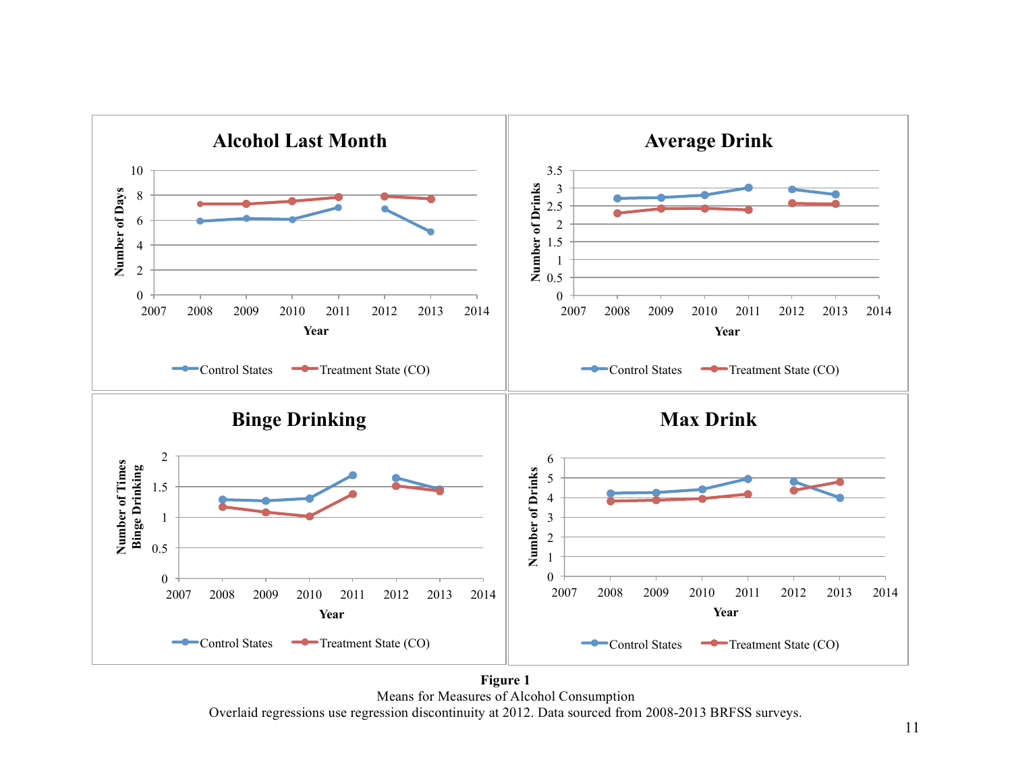

Means for Measures of Alcohol Consumption Overlaid regressions use regression discontinuity at 2012. Data sourced from 2008-2013 BRFSS surveys.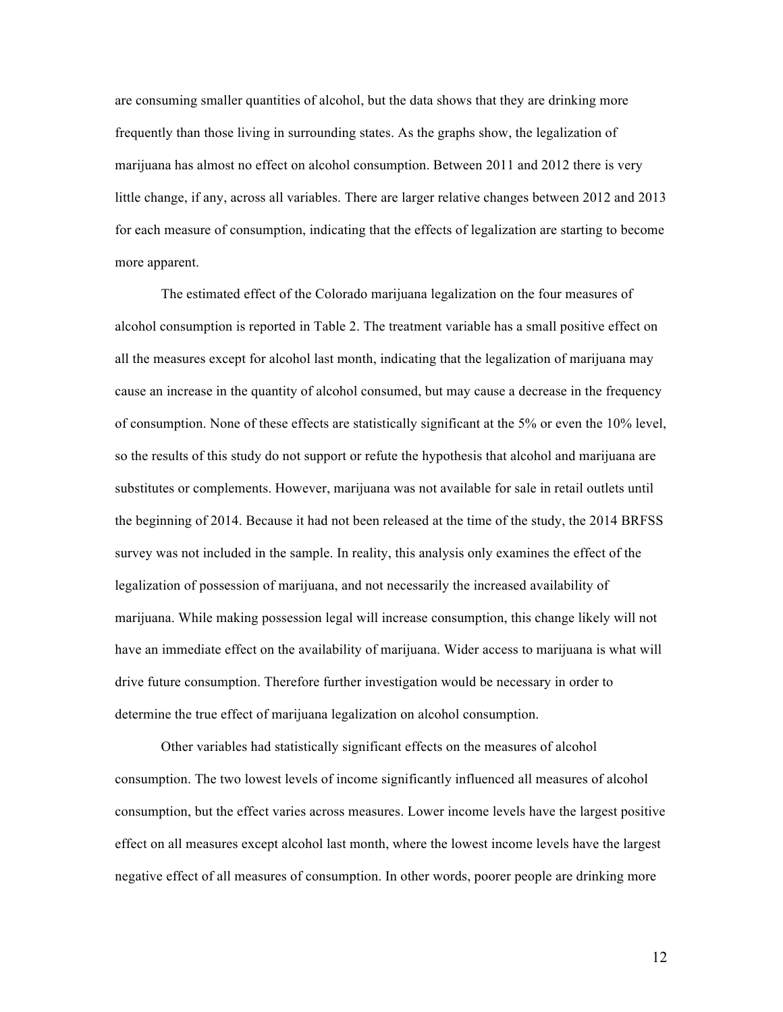are consuming smaller quantities of alcohol, but the data shows that they are drinking more frequently than those living in surrounding states. As the graphs show, the legalization of marijuana has almost no effect on alcohol consumption. Between 2011 and 2012 there is very little change, if any, across all variables. There are larger relative changes between 2012 and 2013 for each measure of consumption, indicating that the effects of legalization are starting to become more apparent.

The estimated effect of the Colorado marijuana legalization on the four measures of alcohol consumption is reported in Table 2. The treatment variable has a small positive effect on all the measures except for alcohol last month, indicating that the legalization of marijuana may cause an increase in the quantity of alcohol consumed, but may cause a decrease in the frequency of consumption. None of these effects are statistically significant at the 5% or even the 10% level, so the results of this study do not support or refute the hypothesis that alcohol and marijuana are substitutes or complements. However, marijuana was not available for sale in retail outlets until the beginning of 2014. Because it had not been released at the time of the study, the 2014 BRFSS survey was not included in the sample. In reality, this analysis only examines the effect of the legalization of possession of marijuana, and not necessarily the increased availability of marijuana. While making possession legal will increase consumption, this change likely will not have an immediate effect on the availability of marijuana. Wider access to marijuana is what will drive future consumption. Therefore further investigation would be necessary in order to determine the true effect of marijuana legalization on alcohol consumption.

Other variables had statistically significant effects on the measures of alcohol consumption. The two lowest levels of income significantly influenced all measures of alcohol consumption, but the effect varies across measures. Lower income levels have the largest positive effect on all measures except alcohol last month, where the lowest income levels have the largest negative effect of all measures of consumption. In other words, poorer people are drinking more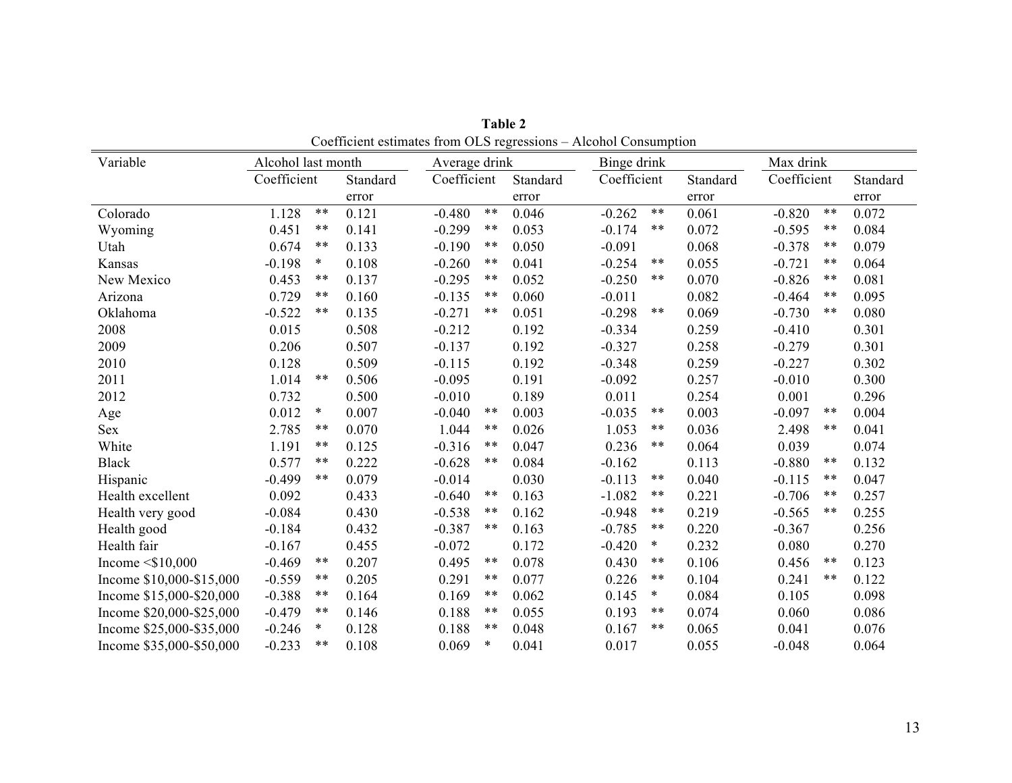| Variable                 | Alcohol last month |        | Average drink |             |        | Binge drink |             |        | Max drink |             |       |          |
|--------------------------|--------------------|--------|---------------|-------------|--------|-------------|-------------|--------|-----------|-------------|-------|----------|
|                          | Coefficient        |        | Standard      | Coefficient |        | Standard    | Coefficient |        | Standard  | Coefficient |       | Standard |
|                          |                    |        | error         |             |        | error       |             |        | error     |             |       | error    |
| Colorado                 | 1.128              | $***$  | 0.121         | $-0.480$    | $***$  | 0.046       | $-0.262$    | $***$  | 0.061     | $-0.820$    | $***$ | 0.072    |
| Wyoming                  | 0.451              | $***$  | 0.141         | $-0.299$    | $***$  | 0.053       | $-0.174$    | $***$  | 0.072     | $-0.595$    | $***$ | 0.084    |
| Utah                     | 0.674              | $***$  | 0.133         | $-0.190$    | $***$  | 0.050       | $-0.091$    |        | 0.068     | $-0.378$    | $***$ | 0.079    |
| Kansas                   | $-0.198$           | $\ast$ | 0.108         | $-0.260$    | $***$  | 0.041       | $-0.254$    | $***$  | 0.055     | $-0.721$    | $***$ | 0.064    |
| New Mexico               | 0.453              | $***$  | 0.137         | $-0.295$    | $***$  | 0.052       | $-0.250$    | $***$  | 0.070     | $-0.826$    | $***$ | 0.081    |
| Arizona                  | 0.729              | $***$  | 0.160         | $-0.135$    | $***$  | 0.060       | $-0.011$    |        | 0.082     | $-0.464$    | $***$ | 0.095    |
| Oklahoma                 | $-0.522$           | $***$  | 0.135         | $-0.271$    | $***$  | 0.051       | $-0.298$    | $***$  | 0.069     | $-0.730$    | $***$ | 0.080    |
| 2008                     | 0.015              |        | 0.508         | $-0.212$    |        | 0.192       | $-0.334$    |        | 0.259     | $-0.410$    |       | 0.301    |
| 2009                     | 0.206              |        | 0.507         | $-0.137$    |        | 0.192       | $-0.327$    |        | 0.258     | $-0.279$    |       | 0.301    |
| 2010                     | 0.128              |        | 0.509         | $-0.115$    |        | 0.192       | $-0.348$    |        | 0.259     | $-0.227$    |       | 0.302    |
| 2011                     | 1.014              | $***$  | 0.506         | $-0.095$    |        | 0.191       | $-0.092$    |        | 0.257     | $-0.010$    |       | 0.300    |
| 2012                     | 0.732              |        | 0.500         | $-0.010$    |        | 0.189       | 0.011       |        | 0.254     | 0.001       |       | 0.296    |
| Age                      | 0.012              | $\ast$ | 0.007         | $-0.040$    | $***$  | 0.003       | $-0.035$    | $***$  | 0.003     | $-0.097$    | $***$ | 0.004    |
| <b>Sex</b>               | 2.785              | $***$  | 0.070         | 1.044       | $***$  | 0.026       | 1.053       | $***$  | 0.036     | 2.498       | $***$ | 0.041    |
| White                    | 1.191              | $***$  | 0.125         | $-0.316$    | $***$  | 0.047       | 0.236       | $***$  | 0.064     | 0.039       |       | 0.074    |
| <b>Black</b>             | 0.577              | $***$  | 0.222         | $-0.628$    | $***$  | 0.084       | $-0.162$    |        | 0.113     | $-0.880$    | $***$ | 0.132    |
| Hispanic                 | $-0.499$           | $***$  | 0.079         | $-0.014$    |        | 0.030       | $-0.113$    | $***$  | 0.040     | $-0.115$    | $***$ | 0.047    |
| Health excellent         | 0.092              |        | 0.433         | $-0.640$    | $***$  | 0.163       | $-1.082$    | $***$  | 0.221     | $-0.706$    | $***$ | 0.257    |
| Health very good         | $-0.084$           |        | 0.430         | $-0.538$    | $***$  | 0.162       | $-0.948$    | $***$  | 0.219     | $-0.565$    | $***$ | 0.255    |
| Health good              | $-0.184$           |        | 0.432         | $-0.387$    | $***$  | 0.163       | $-0.785$    | $***$  | 0.220     | $-0.367$    |       | 0.256    |
| Health fair              | $-0.167$           |        | 0.455         | $-0.072$    |        | 0.172       | $-0.420$    | $\ast$ | 0.232     | 0.080       |       | 0.270    |
| Income $\leq$ \$10,000   | $-0.469$           | $***$  | 0.207         | 0.495       | $***$  | 0.078       | 0.430       | $***$  | 0.106     | 0.456       | $***$ | 0.123    |
| Income \$10,000-\$15,000 | $-0.559$           | $***$  | 0.205         | 0.291       | $***$  | 0.077       | 0.226       | $***$  | 0.104     | 0.241       | $***$ | 0.122    |
| Income \$15,000-\$20,000 | $-0.388$           | $***$  | 0.164         | 0.169       | $***$  | 0.062       | 0.145       | $\ast$ | 0.084     | 0.105       |       | 0.098    |
| Income \$20,000-\$25,000 | $-0.479$           | $***$  | 0.146         | 0.188       | $***$  | 0.055       | 0.193       | $***$  | 0.074     | 0.060       |       | 0.086    |
| Income \$25,000-\$35,000 | $-0.246$           | $\ast$ | 0.128         | 0.188       | $***$  | 0.048       | 0.167       | $***$  | 0.065     | 0.041       |       | 0.076    |
| Income \$35,000-\$50,000 | $-0.233$           | $***$  | 0.108         | 0.069       | $\ast$ | 0.041       | 0.017       |        | 0.055     | $-0.048$    |       | 0.064    |

**Table 2** Coefficient estimates from OLS regressions – Alcohol Consumption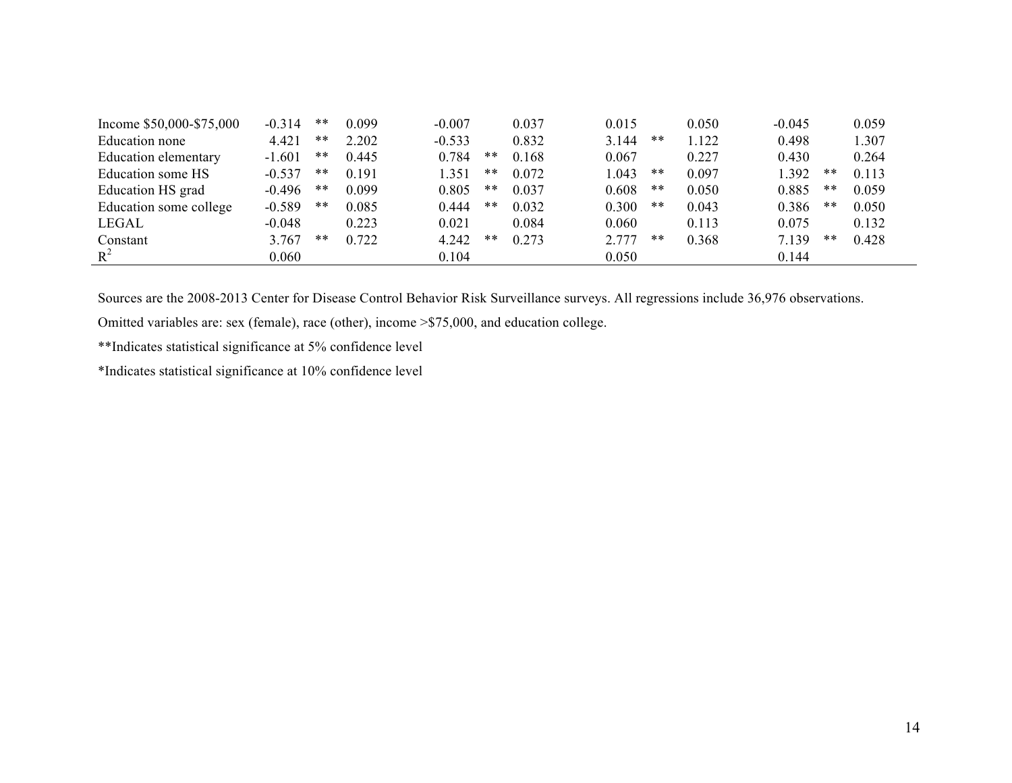| Income \$50,000-\$75,000 | $-0.314$ | **    | 0.099 | $-0.007$ |       | 0.037 | 0.015 |    | 0.050 | $-0.045$ |       | 0.059 |
|--------------------------|----------|-------|-------|----------|-------|-------|-------|----|-------|----------|-------|-------|
| Education none           | 4.421    | **    | 2.202 | $-0.533$ |       | 0.832 | 3.144 | ** | 1.122 | 0.498    |       | 1.307 |
| Education elementary     | $-1.601$ | **    | 0.445 | 0.784    | $***$ | 0.168 | 0.067 |    | 0.227 | 0.430    |       | 0.264 |
| Education some HS        | $-0.537$ | **    | 0.191 | 351      | **    | 0.072 | .043  | ** | 0.097 | .392     | **    | 0.113 |
| Education HS grad        | $-0.496$ | $***$ | 0.099 | 0.805    | $***$ | 0.037 | 0.608 | ** | 0.050 | 0.885    | $***$ | 0.059 |
| Education some college   | $-0.589$ | **    | 0.085 | 0.444    | $***$ | 0.032 | 0.300 | ** | 0.043 | 0.386    | **    | 0.050 |
| LEGAL                    | $-0.048$ |       | 0.223 | 0.021    |       | 0.084 | 0.060 |    | 0.113 | 0.075    |       | 0.132 |
| Constant                 | 3.767    | **    | 0.722 | 4.242    | **    | 0.273 | 2.777 | ** | 0.368 | 7.139    | **    | 0.428 |
| $R^2$                    | 0.060    |       |       | 0.104    |       |       | 0.050 |    |       | 0.144    |       |       |

Sources are the 2008-2013 Center for Disease Control Behavior Risk Surveillance surveys. All regressions include 36,976 observations.

Omitted variables are: sex (female), race (other), income >\$75,000, and education college.

\*\*Indicates statistical significance at 5% confidence level

\*Indicates statistical significance at 10% confidence level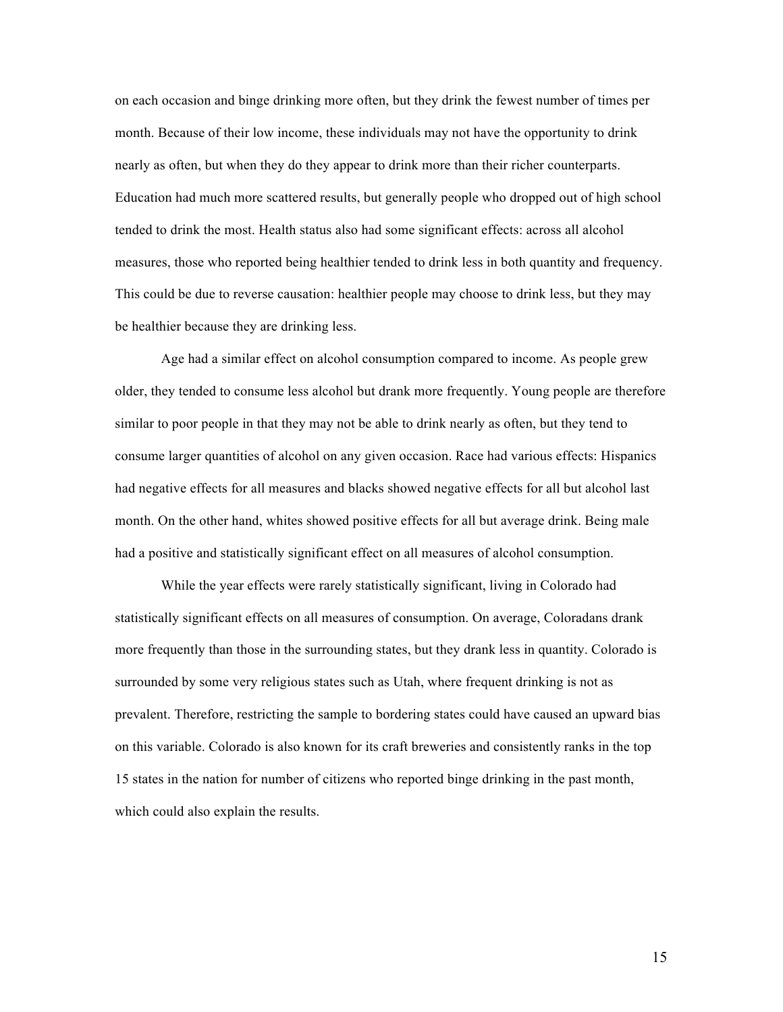on each occasion and binge drinking more often, but they drink the fewest number of times per month. Because of their low income, these individuals may not have the opportunity to drink nearly as often, but when they do they appear to drink more than their richer counterparts. Education had much more scattered results, but generally people who dropped out of high school tended to drink the most. Health status also had some significant effects: across all alcohol measures, those who reported being healthier tended to drink less in both quantity and frequency. This could be due to reverse causation: healthier people may choose to drink less, but they may be healthier because they are drinking less.

Age had a similar effect on alcohol consumption compared to income. As people grew older, they tended to consume less alcohol but drank more frequently. Young people are therefore similar to poor people in that they may not be able to drink nearly as often, but they tend to consume larger quantities of alcohol on any given occasion. Race had various effects: Hispanics had negative effects for all measures and blacks showed negative effects for all but alcohol last month. On the other hand, whites showed positive effects for all but average drink. Being male had a positive and statistically significant effect on all measures of alcohol consumption.

While the year effects were rarely statistically significant, living in Colorado had statistically significant effects on all measures of consumption. On average, Coloradans drank more frequently than those in the surrounding states, but they drank less in quantity. Colorado is surrounded by some very religious states such as Utah, where frequent drinking is not as prevalent. Therefore, restricting the sample to bordering states could have caused an upward bias on this variable. Colorado is also known for its craft breweries and consistently ranks in the top 15 states in the nation for number of citizens who reported binge drinking in the past month, which could also explain the results.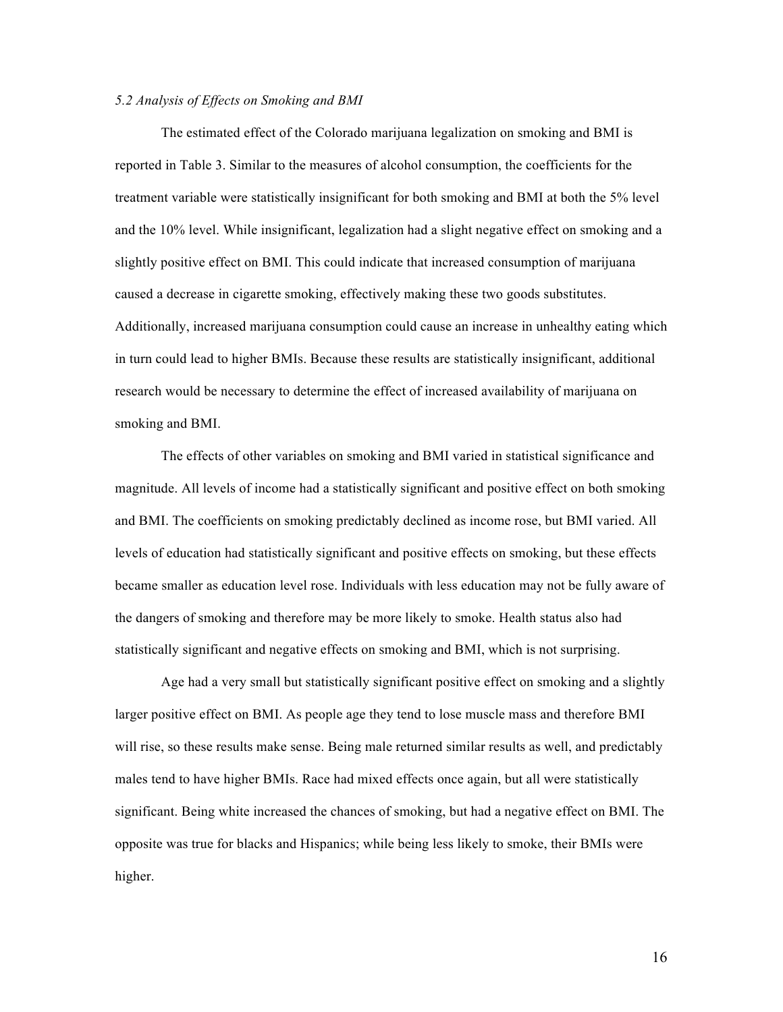# *5.2 Analysis of Effects on Smoking and BMI*

The estimated effect of the Colorado marijuana legalization on smoking and BMI is reported in Table 3. Similar to the measures of alcohol consumption, the coefficients for the treatment variable were statistically insignificant for both smoking and BMI at both the 5% level and the 10% level. While insignificant, legalization had a slight negative effect on smoking and a slightly positive effect on BMI. This could indicate that increased consumption of marijuana caused a decrease in cigarette smoking, effectively making these two goods substitutes. Additionally, increased marijuana consumption could cause an increase in unhealthy eating which in turn could lead to higher BMIs. Because these results are statistically insignificant, additional research would be necessary to determine the effect of increased availability of marijuana on smoking and BMI.

The effects of other variables on smoking and BMI varied in statistical significance and magnitude. All levels of income had a statistically significant and positive effect on both smoking and BMI. The coefficients on smoking predictably declined as income rose, but BMI varied. All levels of education had statistically significant and positive effects on smoking, but these effects became smaller as education level rose. Individuals with less education may not be fully aware of the dangers of smoking and therefore may be more likely to smoke. Health status also had statistically significant and negative effects on smoking and BMI, which is not surprising.

Age had a very small but statistically significant positive effect on smoking and a slightly larger positive effect on BMI. As people age they tend to lose muscle mass and therefore BMI will rise, so these results make sense. Being male returned similar results as well, and predictably males tend to have higher BMIs. Race had mixed effects once again, but all were statistically significant. Being white increased the chances of smoking, but had a negative effect on BMI. The opposite was true for blacks and Hispanics; while being less likely to smoke, their BMIs were higher.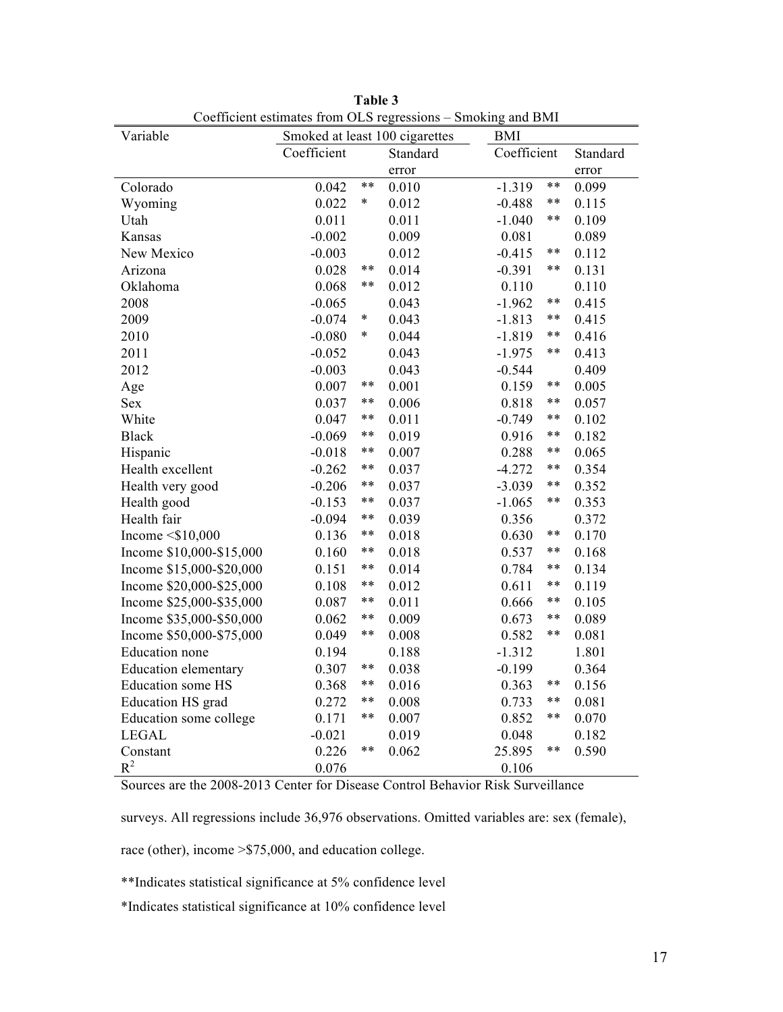| Variable                    |                                               |        | Coefficient estimates from OLS regressions – Smoking and Divit | <b>BMI</b>  |       |                |  |
|-----------------------------|-----------------------------------------------|--------|----------------------------------------------------------------|-------------|-------|----------------|--|
|                             | Smoked at least 100 cigarettes<br>Coefficient |        | Standard                                                       | Coefficient |       | Standard       |  |
|                             |                                               |        |                                                                |             |       |                |  |
| Colorado                    | 0.042                                         | $***$  | error<br>0.010                                                 | $-1.319$    | $**$  | error<br>0.099 |  |
| Wyoming                     | 0.022                                         | $\ast$ | 0.012                                                          | $-0.488$    | $***$ | 0.115          |  |
| Utah                        | 0.011                                         |        | 0.011                                                          | $-1.040$    | $***$ | 0.109          |  |
| Kansas                      | $-0.002$                                      |        | 0.009                                                          | 0.081       |       | 0.089          |  |
| New Mexico                  | $-0.003$                                      |        | 0.012                                                          | $-0.415$    | **    | 0.112          |  |
| Arizona                     | 0.028                                         | **     | 0.014                                                          |             | $***$ | 0.131          |  |
|                             | 0.068                                         | $***$  |                                                                | $-0.391$    |       | 0.110          |  |
| Oklahoma                    |                                               |        | 0.012                                                          | 0.110       | $***$ |                |  |
| 2008                        | $-0.065$                                      | $\ast$ | 0.043                                                          | $-1.962$    | $***$ | 0.415          |  |
| 2009                        | $-0.074$                                      | *      | 0.043                                                          | $-1.813$    | $***$ | 0.415          |  |
| 2010                        | $-0.080$                                      |        | 0.044                                                          | $-1.819$    | $***$ | 0.416          |  |
| 2011                        | $-0.052$                                      |        | 0.043                                                          | $-1.975$    |       | 0.413          |  |
| 2012                        | $-0.003$                                      | $***$  | 0.043                                                          | $-0.544$    | $***$ | 0.409          |  |
| Age                         | 0.007                                         | $***$  | 0.001                                                          | 0.159       | **    | 0.005          |  |
| <b>Sex</b>                  | 0.037                                         | $***$  | 0.006                                                          | 0.818       |       | 0.057          |  |
| White                       | 0.047                                         |        | 0.011                                                          | $-0.749$    | **    | 0.102          |  |
| <b>Black</b>                | $-0.069$                                      | $***$  | 0.019                                                          | 0.916       | $***$ | 0.182          |  |
| Hispanic                    | $-0.018$                                      | **     | 0.007                                                          | 0.288       | **    | 0.065          |  |
| Health excellent            | $-0.262$                                      | $***$  | 0.037                                                          | $-4.272$    | $***$ | 0.354          |  |
| Health very good            | $-0.206$                                      | **     | 0.037                                                          | $-3.039$    | $***$ | 0.352          |  |
| Health good                 | $-0.153$                                      | **     | 0.037                                                          | $-1.065$    | $***$ | 0.353          |  |
| Health fair                 | $-0.094$                                      | $***$  | 0.039                                                          | 0.356       |       | 0.372          |  |
| Income $\leq$ \$10,000      | 0.136                                         | $***$  | 0.018                                                          | 0.630       | $***$ | 0.170          |  |
| Income \$10,000-\$15,000    | 0.160                                         | $***$  | 0.018                                                          | 0.537       | $***$ | 0.168          |  |
| Income \$15,000-\$20,000    | 0.151                                         | **     | 0.014                                                          | 0.784       | **    | 0.134          |  |
| Income \$20,000-\$25,000    | 0.108                                         | $***$  | 0.012                                                          | 0.611       | $***$ | 0.119          |  |
| Income \$25,000-\$35,000    | 0.087                                         | $***$  | 0.011                                                          | 0.666       | $***$ | 0.105          |  |
| Income \$35,000-\$50,000    | 0.062                                         | **     | 0.009                                                          | 0.673       | $***$ | 0.089          |  |
| Income \$50,000-\$75,000    | 0.049                                         | $***$  | 0.008                                                          | 0.582       | $***$ | 0.081          |  |
| Education none              | 0.194                                         |        | 0.188                                                          | $-1.312$    |       | 1.801          |  |
| <b>Education elementary</b> | 0.307                                         | $***$  | 0.038                                                          | $-0.199$    |       | 0.364          |  |
| Education some HS           | 0.368                                         | $***$  | 0.016                                                          | 0.363       | $***$ | 0.156          |  |
| Education HS grad           | 0.272                                         | $***$  | 0.008                                                          | 0.733       | $***$ | 0.081          |  |
| Education some college      | 0.171                                         | $***$  | 0.007                                                          | **<br>0.852 |       | 0.070          |  |
| <b>LEGAL</b>                | $-0.021$                                      |        | 0.019                                                          | 0.048       |       | 0.182          |  |
| Constant                    | 0.226                                         | $***$  | 0.062                                                          | 25.895      | $***$ | 0.590          |  |
| $R^2$                       | 0.076                                         |        |                                                                | 0.106       |       |                |  |

**Table 3** Coefficient estimates from OLS regressions – Smoking and BMI

Sources are the 2008-2013 Center for Disease Control Behavior Risk Surveillance

surveys. All regressions include 36,976 observations. Omitted variables are: sex (female),

race (other), income >\$75,000, and education college.

\*\*Indicates statistical significance at 5% confidence level

\*Indicates statistical significance at 10% confidence level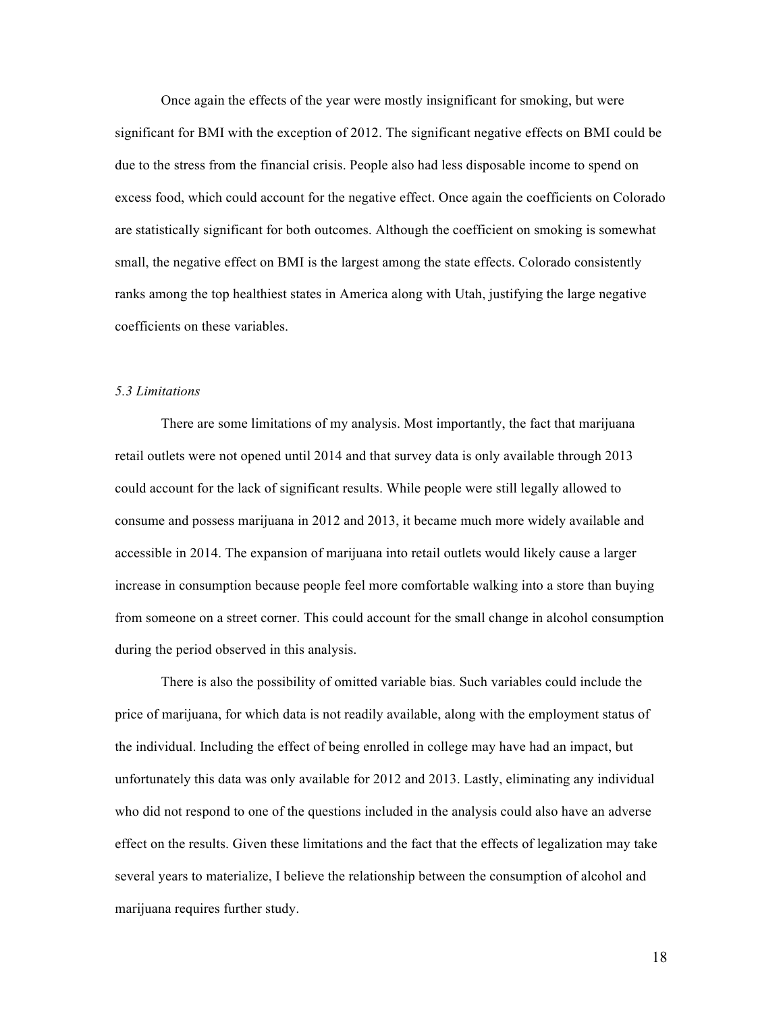Once again the effects of the year were mostly insignificant for smoking, but were significant for BMI with the exception of 2012. The significant negative effects on BMI could be due to the stress from the financial crisis. People also had less disposable income to spend on excess food, which could account for the negative effect. Once again the coefficients on Colorado are statistically significant for both outcomes. Although the coefficient on smoking is somewhat small, the negative effect on BMI is the largest among the state effects. Colorado consistently ranks among the top healthiest states in America along with Utah, justifying the large negative coefficients on these variables.

#### *5.3 Limitations*

There are some limitations of my analysis. Most importantly, the fact that marijuana retail outlets were not opened until 2014 and that survey data is only available through 2013 could account for the lack of significant results. While people were still legally allowed to consume and possess marijuana in 2012 and 2013, it became much more widely available and accessible in 2014. The expansion of marijuana into retail outlets would likely cause a larger increase in consumption because people feel more comfortable walking into a store than buying from someone on a street corner. This could account for the small change in alcohol consumption during the period observed in this analysis.

There is also the possibility of omitted variable bias. Such variables could include the price of marijuana, for which data is not readily available, along with the employment status of the individual. Including the effect of being enrolled in college may have had an impact, but unfortunately this data was only available for 2012 and 2013. Lastly, eliminating any individual who did not respond to one of the questions included in the analysis could also have an adverse effect on the results. Given these limitations and the fact that the effects of legalization may take several years to materialize, I believe the relationship between the consumption of alcohol and marijuana requires further study.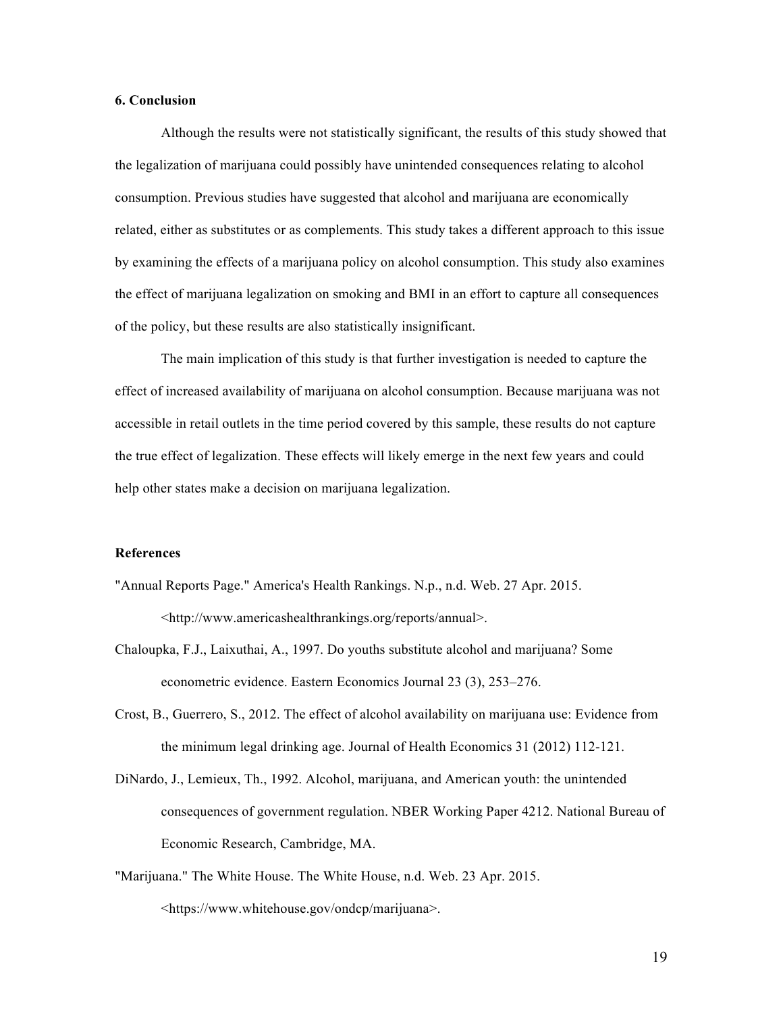# **6. Conclusion**

Although the results were not statistically significant, the results of this study showed that the legalization of marijuana could possibly have unintended consequences relating to alcohol consumption. Previous studies have suggested that alcohol and marijuana are economically related, either as substitutes or as complements. This study takes a different approach to this issue by examining the effects of a marijuana policy on alcohol consumption. This study also examines the effect of marijuana legalization on smoking and BMI in an effort to capture all consequences of the policy, but these results are also statistically insignificant.

The main implication of this study is that further investigation is needed to capture the effect of increased availability of marijuana on alcohol consumption. Because marijuana was not accessible in retail outlets in the time period covered by this sample, these results do not capture the true effect of legalization. These effects will likely emerge in the next few years and could help other states make a decision on marijuana legalization.

# **References**

- "Annual Reports Page." America's Health Rankings. N.p., n.d. Web. 27 Apr. 2015. <http://www.americashealthrankings.org/reports/annual>.
- Chaloupka, F.J., Laixuthai, A., 1997. Do youths substitute alcohol and marijuana? Some econometric evidence. Eastern Economics Journal 23 (3), 253–276.
- Crost, B., Guerrero, S., 2012. The effect of alcohol availability on marijuana use: Evidence from the minimum legal drinking age. Journal of Health Economics 31 (2012) 112-121.
- DiNardo, J., Lemieux, Th., 1992. Alcohol, marijuana, and American youth: the unintended consequences of government regulation. NBER Working Paper 4212. National Bureau of Economic Research, Cambridge, MA.
- "Marijuana." The White House. The White House, n.d. Web. 23 Apr. 2015. <https://www.whitehouse.gov/ondcp/marijuana>.